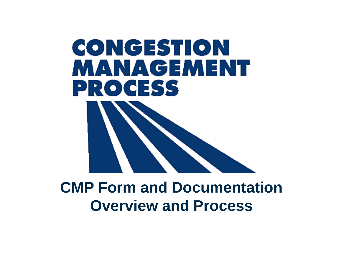

### **CMP Form and Documentation Overview and Process**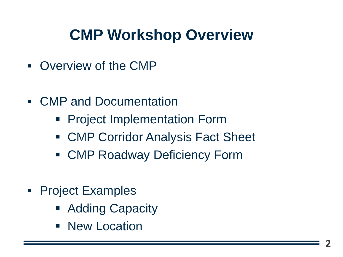# **CMP Workshop Overview**

- Overview of the CMP
- CMP and Documentation
	- Project Implementation Form
	- CMP Corridor Analysis Fact Sheet
	- CMP Roadway Deficiency Form
- Project Examples
	- Adding Capacity
	- New Location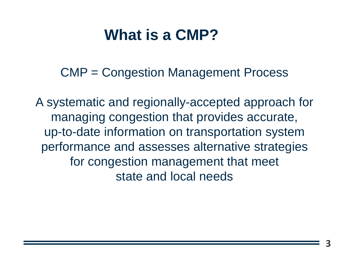## **What is a CMP?**

CMP = Congestion Management Process

A systematic and regionally-accepted approach for managing congestion that provides accurate, up-to-date information on transportation system performance and assesses alternative strategies for congestion management that meet state and local needs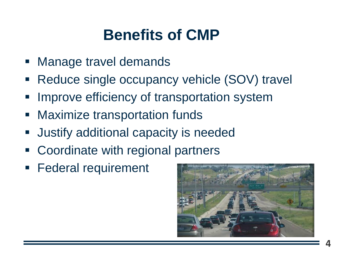# **Benefits of CMP**

- Manage travel demands
- Reduce single occupancy vehicle (SOV) travel
- Improve efficiency of transportation system
- Maximize transportation funds
- Justify additional capacity is needed
- Coordinate with regional partners
- Federal requirement

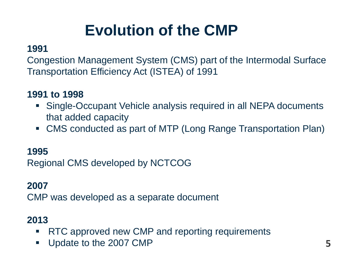# **Evolution of the CMP**

#### **1991**

Congestion Management System (CMS) part of the Intermodal Surface Transportation Efficiency Act (ISTEA) of 1991

#### **1991 to 1998**

- Single-Occupant Vehicle analysis required in all NEPA documents that added capacity
- CMS conducted as part of MTP (Long Range Transportation Plan)

#### **1995**

Regional CMS developed by NCTCOG

#### **2007**

CMP was developed as a separate document

### **2013**

- RTC approved new CMP and reporting requirements
- Update to the 2007 CMP **5**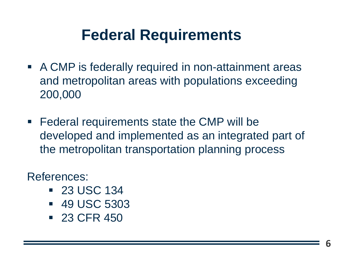# **Federal Requirements**

- A CMP is federally required in non-attainment areas and metropolitan areas with populations exceeding 200,000
- Federal requirements state the CMP will be developed and implemented as an integrated part of the metropolitan transportation planning process

References:

- 23 USC 134
- 49 USC 5303
- 23 CFR 450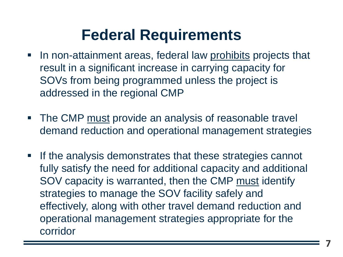# **Federal Requirements**

- **IF In non-attainment areas, federal law prohibits projects that** result in a significant increase in carrying capacity for SOVs from being programmed unless the project is addressed in the regional CMP
- **The CMP must provide an analysis of reasonable travel** demand reduction and operational management strategies
- **.** If the analysis demonstrates that these strategies cannot fully satisfy the need for additional capacity and additional SOV capacity is warranted, then the CMP must identify strategies to manage the SOV facility safely and effectively, along with other travel demand reduction and operational management strategies appropriate for the corridor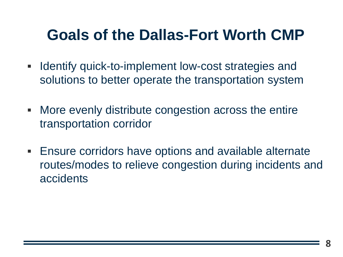# **Goals of the Dallas-Fort Worth CMP**

- **EXED IDENTIFY GUICK-to-implement low-cost strategies and** solutions to better operate the transportation system
- **More evenly distribute congestion across the entire** transportation corridor
- **Ensure corridors have options and available alternate** routes/modes to relieve congestion during incidents and accidents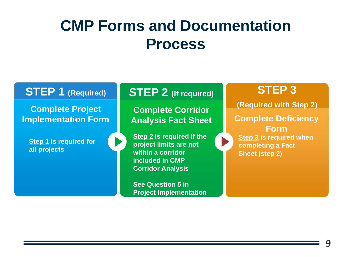### **STEP 1 (Required)**

**Complete Project Implementation Form**

**Step 1 is required for all projects** 

**STEP 2 (If required)**

**(Required with Step 2) Complete Corridor Analysis Fact Sheet**

**Step 2 is required if the project limits are not within a corridor included in CMP Corridor Analysis**

**See Question 5 in Project Implementation** 

### **STEP 3**

**Complete Deficiency Form Step 3 is required when completing a Fact Sheet (step 2)**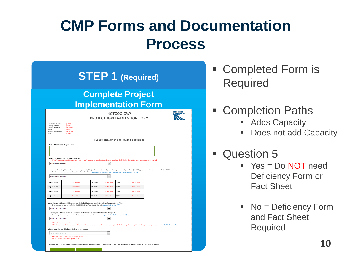| <b>Complete Project</b>                                                 |                                                                                                                                                                                                                                                                                                                                                                              |                 |                                                                  |             |                                       |                                                                                                                                                       |  |  |  |
|-------------------------------------------------------------------------|------------------------------------------------------------------------------------------------------------------------------------------------------------------------------------------------------------------------------------------------------------------------------------------------------------------------------------------------------------------------------|-----------------|------------------------------------------------------------------|-------------|---------------------------------------|-------------------------------------------------------------------------------------------------------------------------------------------------------|--|--|--|
|                                                                         |                                                                                                                                                                                                                                                                                                                                                                              |                 |                                                                  |             |                                       | <b>Implementation Form</b>                                                                                                                            |  |  |  |
| NCTCOG CMP<br>MANAGEMENT<br>PROCESS<br>PROJECT IMPLEMENTATION FORM      |                                                                                                                                                                                                                                                                                                                                                                              |                 |                                                                  |             |                                       |                                                                                                                                                       |  |  |  |
| Agency Name:<br>Agency Address:<br>Fmail:<br>Telephone Number:<br>Date: | <b>INamel</b><br><b>[Address]</b><br><b>IEmail1</b><br><b>INumberl</b><br>[Date]                                                                                                                                                                                                                                                                                             |                 |                                                                  |             | Please answer the following questions |                                                                                                                                                       |  |  |  |
| 1. Project Name and Project Limits                                      |                                                                                                                                                                                                                                                                                                                                                                              |                 |                                                                  |             |                                       |                                                                                                                                                       |  |  |  |
| PLEASE SELECT YES OR NO                                                 | 2. Does this project add roadway capacity?<br>If "yes", please proceed to question three. If "no", proceed to question 11 and leave questions 3-10 blank. Submit the form, nothing more is required.<br>This information can be verified at the following link: Transportation Improvement Program Information System (TIPINS)                                               |                 | $\blacktriangledown$                                             |             |                                       | 3. Are complimentary Travel Demand Management (TDM) or Transportation System Management & Operations (TSM&O) projects within the corridor in the TIP? |  |  |  |
| PLEASE SELECT YES OR NO                                                 |                                                                                                                                                                                                                                                                                                                                                                              |                 | ۰                                                                |             |                                       |                                                                                                                                                       |  |  |  |
| <b>Project Name</b>                                                     | <b>IEnter Herel</b>                                                                                                                                                                                                                                                                                                                                                          | TIP Code        | <b>IEnter Herel</b>                                              | <b>CSJ#</b> | <b>IEnter Herel</b>                   |                                                                                                                                                       |  |  |  |
|                                                                         | [Enter Here]                                                                                                                                                                                                                                                                                                                                                                 | <b>TIP Code</b> | <b>IEnter Herel</b>                                              | <b>CSJ#</b> | [Enter Here]                          |                                                                                                                                                       |  |  |  |
|                                                                         |                                                                                                                                                                                                                                                                                                                                                                              | <b>TIP Code</b> | [Enter Here]                                                     | <b>CSJ#</b> | [Enter Here]                          |                                                                                                                                                       |  |  |  |
|                                                                         | [Enter Here]                                                                                                                                                                                                                                                                                                                                                                 |                 |                                                                  | <b>CSJ#</b> | <b>IEnter Herel</b>                   |                                                                                                                                                       |  |  |  |
|                                                                         | <b>IEnter Herel</b>                                                                                                                                                                                                                                                                                                                                                          | TIP Code        | <b>IEnter Herel</b>                                              |             |                                       |                                                                                                                                                       |  |  |  |
| <b>PLEASE SELECT YES OR NO</b>                                          | 4. Are the project limits within a corridor included in the current Metropolitan Transportation Plan?<br>This information can be verified in the Mobility Plan Fact Sheets found in Appendix G of the MTP<br>5. Are the project limits within a corridor included in the current CMP Corridor Analysis?<br>The complete inventory of corridor fact sheets can be found in -- |                 | $\overline{\phantom{a}}$<br>Appendix C - CMP Corridor Fact Sheet |             |                                       |                                                                                                                                                       |  |  |  |
| Project Name<br>Project Name<br><b>Project Name</b>                     |                                                                                                                                                                                                                                                                                                                                                                              |                 |                                                                  |             |                                       |                                                                                                                                                       |  |  |  |

Alternative Roadway Infrastructure Modal Options

- Completed Form is Required
- Completion Paths
	- Adds Capacity
	- Does not add Capacity
- Question 5
	- $P^*$  Yes = Do NOT need Deficiency Form or Fact Sheet
	- No = Deficiency Form and Fact Sheet Required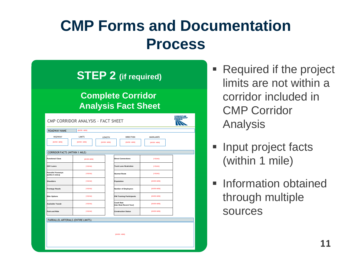**STEP 2 (if required)**

#### **Complete Corridor Analysis Fact Sheet**

| CMP CORRIDOR ANALYSIS - FACT SHEET     |                    |                    |                                             |                          |  |  |  |  |  |
|----------------------------------------|--------------------|--------------------|---------------------------------------------|--------------------------|--|--|--|--|--|
| ROADWAY NAME                           | <b>IBVIER HERE</b> |                    |                                             |                          |  |  |  |  |  |
| <b>HIGHWAY</b>                         | LIMITS             | LENGTH             | <b>DIRECTION</b>                            | MAINLANES                |  |  |  |  |  |
| <b>IBVIER HERE</b>                     | <b>IENTER HERE</b> | <b>IBVIER HERE</b> | <b>IENTER HERE</b>                          | <b><i>ENTER HERE</i></b> |  |  |  |  |  |
|                                        |                    |                    |                                             |                          |  |  |  |  |  |
| <b>CORRIDOR FACTS (WITHIN 1 MILE)</b>  |                    |                    |                                             |                          |  |  |  |  |  |
| <b>Functional Class</b>                | [ENTER HERE]       |                    | <b>Direct Connections</b>                   | [YES/NO]                 |  |  |  |  |  |
| <b>HOV Lanes</b>                       | [YES/NO]           |                    | <b>Truck Lane Restriction</b>               | [YES/NO]                 |  |  |  |  |  |
| Parrallel Freeways<br>(within 5 miles) | [YES/NO]           |                    | <b>Hazmat Route</b>                         | [YES/NO]                 |  |  |  |  |  |
| Shoulders                              | [YES/NO]           |                    | Population                                  | <b>IENTER HERE</b>       |  |  |  |  |  |
| <b>Frontage Roads</b>                  | [YES/NO]           |                    | <b>Number of Employees</b>                  | <b>ENTER HERE</b>        |  |  |  |  |  |
| <b>Bike Options</b>                    | [YES/NO]           |                    | <b>FIM Training Participants</b>            | <b>IENTER HERE</b>       |  |  |  |  |  |
| Available Transit                      | [YES/NO]           |                    | <b>Crash Rate</b><br>(Use Most Recent Year) | <b>IENTER HERE</b>       |  |  |  |  |  |
| Park and Ride                          | [YES/NO]           |                    | <b>Construction Status</b>                  | <b>ENTER HERE</b>        |  |  |  |  |  |
| PARRALLEL ARTERIALS (ENTIRE LIMITS)    |                    |                    |                                             |                          |  |  |  |  |  |
|                                        |                    |                    | <b>[ENTER HERE]</b>                         |                          |  |  |  |  |  |
|                                        |                    |                    |                                             |                          |  |  |  |  |  |

- Required if the project limits are not within a corridor included in CMP Corridor Analysis
- Input project facts (within 1 mile)
- **E** Information obtained through multiple sources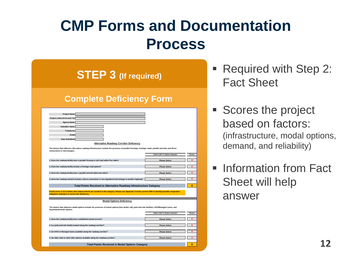**STEP 3 (If required)**

#### **Complete Deficiency Form**

| Project Name:                                                                                                                                                                                              |                                                                      |              |  |  |  |  |  |
|------------------------------------------------------------------------------------------------------------------------------------------------------------------------------------------------------------|----------------------------------------------------------------------|--------------|--|--|--|--|--|
| Project Limits (From and To):                                                                                                                                                                              |                                                                      |              |  |  |  |  |  |
| <b>Agency Name:</b>                                                                                                                                                                                        |                                                                      |              |  |  |  |  |  |
| Submitter Name:                                                                                                                                                                                            |                                                                      |              |  |  |  |  |  |
| Telephone:                                                                                                                                                                                                 |                                                                      |              |  |  |  |  |  |
| Email:                                                                                                                                                                                                     |                                                                      |              |  |  |  |  |  |
| Date Submitted:                                                                                                                                                                                            |                                                                      |              |  |  |  |  |  |
| <b>Alternative Roadway Corridor Deficiency</b>                                                                                                                                                             |                                                                      |              |  |  |  |  |  |
| The factors that influence alternative roadway infrastructure include the presence of parallel freeways, frontage roads, parallel arterials, and direct<br>connections or interchanges.                    |                                                                      |              |  |  |  |  |  |
|                                                                                                                                                                                                            | <b>Click Cell To Select Answer</b>                                   | Score        |  |  |  |  |  |
|                                                                                                                                                                                                            |                                                                      |              |  |  |  |  |  |
| 1. Does the roadway facility have a parallel freeway or toll road within five miles?                                                                                                                       | <b>Please Select</b>                                                 | $\mathbf{0}$ |  |  |  |  |  |
| 2. Does the roadway facility include a frontage road system?                                                                                                                                               | <b>Please Select</b>                                                 | $\mathbf{0}$ |  |  |  |  |  |
| 3. Does the roadway facility have a parallel arterial within two miles?                                                                                                                                    | <b>Please Select</b>                                                 | $\mathbf{0}$ |  |  |  |  |  |
| 4. Does the roadway network include a direct connection or non-signalized interchange to another highway?<br><b>Please Select</b>                                                                          |                                                                      |              |  |  |  |  |  |
|                                                                                                                                                                                                            | Total Points Received in Alternative Roadway Infrastructure Category |              |  |  |  |  |  |
|                                                                                                                                                                                                            |                                                                      |              |  |  |  |  |  |
| If total score is 14 or below, then improvements are needed in this category. Please see Appendix A of the current CMP to identify possible congestion<br>mitigation strategies to correct the deficiency. |                                                                      |              |  |  |  |  |  |
|                                                                                                                                                                                                            |                                                                      |              |  |  |  |  |  |
| <b>Modal Options Deficiency</b>                                                                                                                                                                            |                                                                      |              |  |  |  |  |  |
|                                                                                                                                                                                                            |                                                                      |              |  |  |  |  |  |
| The factors that influence modal options include the presence of transit options (bus and/or rail), park-and-ride facilities, HOV/Managed Lanes, and<br>bicycle/pedestrian options.                        |                                                                      |              |  |  |  |  |  |
|                                                                                                                                                                                                            | <b>Click Cell To Select Answer</b>                                   | Score        |  |  |  |  |  |
|                                                                                                                                                                                                            |                                                                      | $\Omega$     |  |  |  |  |  |
| 1. Does the roadway facility have established transit service?                                                                                                                                             | <b>Please Select</b>                                                 |              |  |  |  |  |  |
| 2. Is a park-and-ride facility located along the roadway corridor?                                                                                                                                         | <b>Please Select</b>                                                 | $\Omega$     |  |  |  |  |  |
| 3. Are HOV or Managed lanes available along the roadway corridor?                                                                                                                                          | <b>Please Select</b>                                                 | $\Omega$     |  |  |  |  |  |
| 4. Are bike trails or other bike options available along the roadway corridor?                                                                                                                             | <b>Please Select</b>                                                 | $\mathbf{0}$ |  |  |  |  |  |
|                                                                                                                                                                                                            |                                                                      |              |  |  |  |  |  |
| <b>Total Points Received in Modal Options Category</b>                                                                                                                                                     |                                                                      |              |  |  |  |  |  |

- Required with Step 2: Fact Sheet
- Scores the project based on factors: (infrastructure, modal options, demand, and reliability)
- **Example 1** Information from Fact Sheet will help answer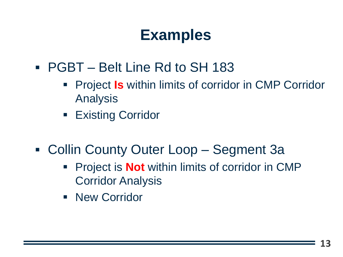# **Examples**

- PGBT Belt Line Rd to SH 183
	- **Project Is within limits of corridor in CMP Corridor** Analysis
	- **Existing Corridor**
- Collin County Outer Loop Segment 3a
	- **Project is Not** within limits of corridor in CMP Corridor Analysis
	- New Corridor